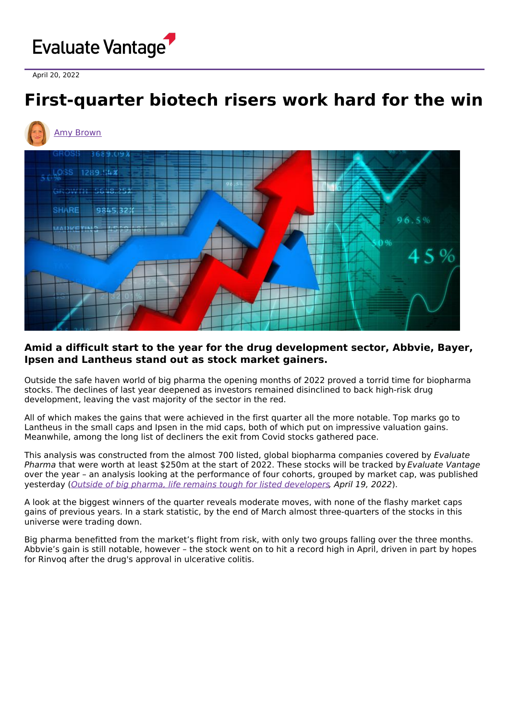# Evaluate Vantage

April 20, 2022

# **First-quarter biotech risers work hard for the win**



## **Amid a difficult start to the year for the drug development sector, Abbvie, Bayer, Ipsen and Lantheus stand out as stock market gainers.**

Outside the safe haven world of big pharma the opening months of 2022 proved a torrid time for biopharma stocks. The declines of last year deepened as investors remained disinclined to back high-risk drug development, leaving the vast majority of the sector in the red.

All of which makes the gains that were achieved in the first quarter all the more notable. Top marks go to Lantheus in the small caps and Ipsen in the mid caps, both of which put on impressive valuation gains. Meanwhile, among the long list of decliners the exit from Covid stocks gathered pace.

This analysis was constructed from the almost 700 listed, global biopharma companies covered by Evaluate Pharma that were worth at least \$250m at the start of 2022. These stocks will be tracked by Evaluate Vantage over the year – an analysis looking at the performance of four cohorts, grouped by market cap, was published yesterday (Outside of big pharma, life remains tough for listed [developers](https://www.evaluate.com/vantage/articles/insights/quarterly-shareprice-performance/outside-big-pharma-life-remains-tough), April 19, 2022).

A look at the biggest winners of the quarter reveals moderate moves, with none of the flashy market caps gains of previous years. In a stark statistic, by the end of March almost three-quarters of the stocks in this universe were trading down.

Big pharma benefitted from the market's flight from risk, with only two groups falling over the three months. Abbvie's gain is still notable, however – the stock went on to hit a record high in April, driven in part by hopes for Rinvoq after the drug's approval in ulcerative colitis.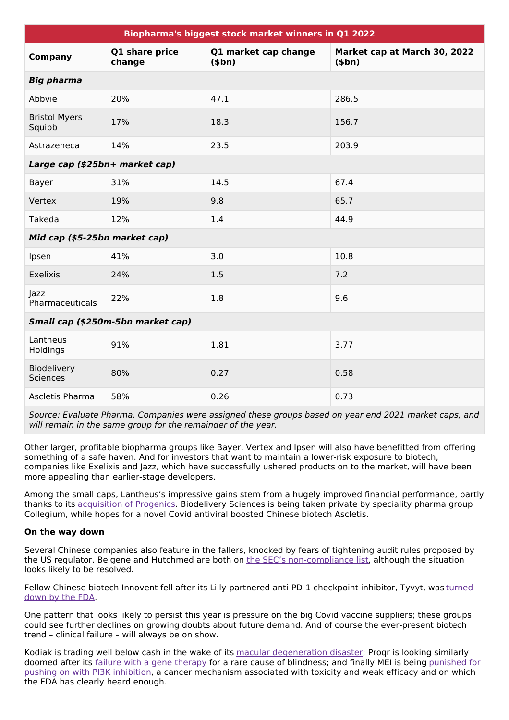| Biopharma's biggest stock market winners in Q1 2022 |                          |                                        |                                                |  |  |
|-----------------------------------------------------|--------------------------|----------------------------------------|------------------------------------------------|--|--|
| <b>Company</b>                                      | Q1 share price<br>change | Q1 market cap change<br>( <b>5</b> bn) | Market cap at March 30, 2022<br>( <b>5</b> bn) |  |  |
| <b>Big pharma</b>                                   |                          |                                        |                                                |  |  |
| Abbvie                                              | 20%                      | 47.1                                   | 286.5                                          |  |  |
| <b>Bristol Myers</b><br>Squibb                      | 17%                      | 18.3                                   | 156.7                                          |  |  |
| Astrazeneca                                         | 14%                      | 23.5                                   | 203.9                                          |  |  |
| Large cap (\$25bn+ market cap)                      |                          |                                        |                                                |  |  |
| Bayer                                               | 31%                      | 14.5                                   | 67.4                                           |  |  |
| Vertex                                              | 19%                      | 9.8                                    | 65.7                                           |  |  |
| Takeda                                              | 12%                      | 1.4                                    | 44.9                                           |  |  |
| Mid cap (\$5-25bn market cap)                       |                          |                                        |                                                |  |  |
| Ipsen                                               | 41%                      | 3.0                                    | 10.8                                           |  |  |
| Exelixis                                            | 24%                      | 1.5                                    | 7.2                                            |  |  |
| Jazz<br>Pharmaceuticals                             | 22%                      | 1.8                                    | 9.6                                            |  |  |
| Small cap (\$250m-5bn market cap)                   |                          |                                        |                                                |  |  |
| Lantheus<br>Holdings                                | 91%                      | 1.81                                   | 3.77                                           |  |  |
| Biodelivery<br><b>Sciences</b>                      | 80%                      | 0.27                                   | 0.58                                           |  |  |
| Ascletis Pharma                                     | 58%                      | 0.26                                   | 0.73                                           |  |  |

Source: Evaluate Pharma. Companies were assigned these groups based on year end 2021 market caps, and will remain in the same group for the remainder of the year.

Other larger, profitable biopharma groups like Bayer, Vertex and Ipsen will also have benefitted from offering something of a safe haven. And for investors that want to maintain a lower-risk exposure to biotech, companies like Exelixis and Jazz, which have successfully ushered products on to the market, will have been more appealing than earlier-stage developers.

Among the small caps, Lantheus's impressive gains stem from a hugely improved financial performance, partly thanks to its [acquisition](https://www.evaluate.com/vantage/articles/news/snippets/lantheus-shareholders-take-short-term-view-progenics-deal) of Progenics. Biodelivery Sciences is being taken private by speciality pharma group Collegium, while hopes for a novel Covid antiviral boosted Chinese biotech Ascletis.

### **On the way down**

Several Chinese companies also feature in the fallers, knocked by fears of tightening audit rules proposed by the US regulator. Beigene and Hutchmed are both on the SEC's [non-compliance](https://www.evaluate.com/vantage/articles/news/policy-and-regulation-snippets/swift-resolution-emerges-chinas-non-compliance) list, although the situation looks likely to be resolved.

Fellow Chinese biotech Innovent fell after its [Lilly-partnered](https://www.evaluate.com/vantage/articles/insights/nme-approvals-snippets/us-fda-approval-tracker-march) anti-PD-1 checkpoint inhibitor, Tyvyt, was turned down by the FDA.

One pattern that looks likely to persist this year is pressure on the big Covid vaccine suppliers; these groups could see further declines on growing doubts about future demand. And of course the ever-present biotech trend – clinical failure – will always be on show.

Kodiak is trading well below cash in the wake of its macular [degeneration](https://www.evaluate.com/vantage/articles/news/trial-results-snippets/daylight-unlikely-break-kodiak) disaster; Proqr is looking similarly doomed after its failure with a gene [therapy](https://www.evaluate.com/vantage/articles/news/trial-results-snippets/illuminate-leaves-proqr-darkness) for a rare cause of blindness; and finally MEI is being punished for pushing on with PI3K inhibition, a cancer [mechanism](https://www.evaluate.com/vantage/articles/news/policy-and-regulation-snippets/mei-suffers-fdas-brake-accelerated-approvals) associated with toxicity and weak efficacy and on which the FDA has clearly heard enough.